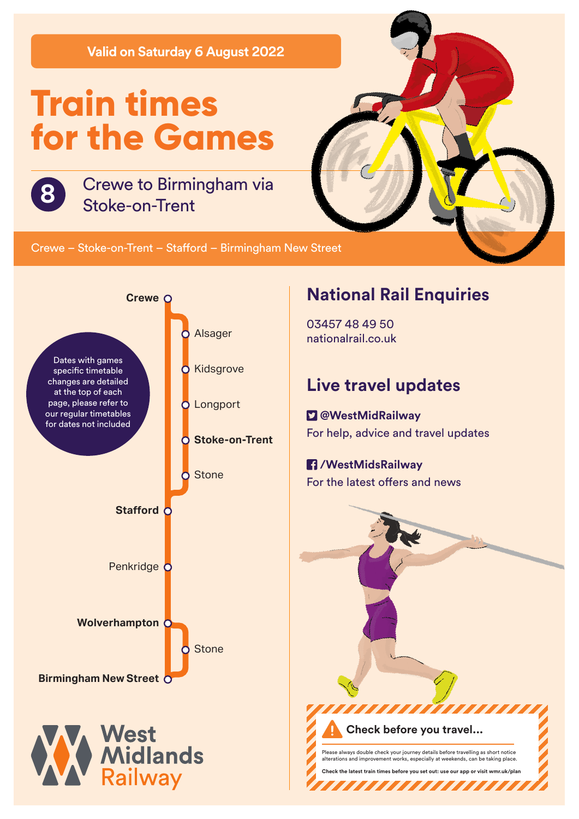